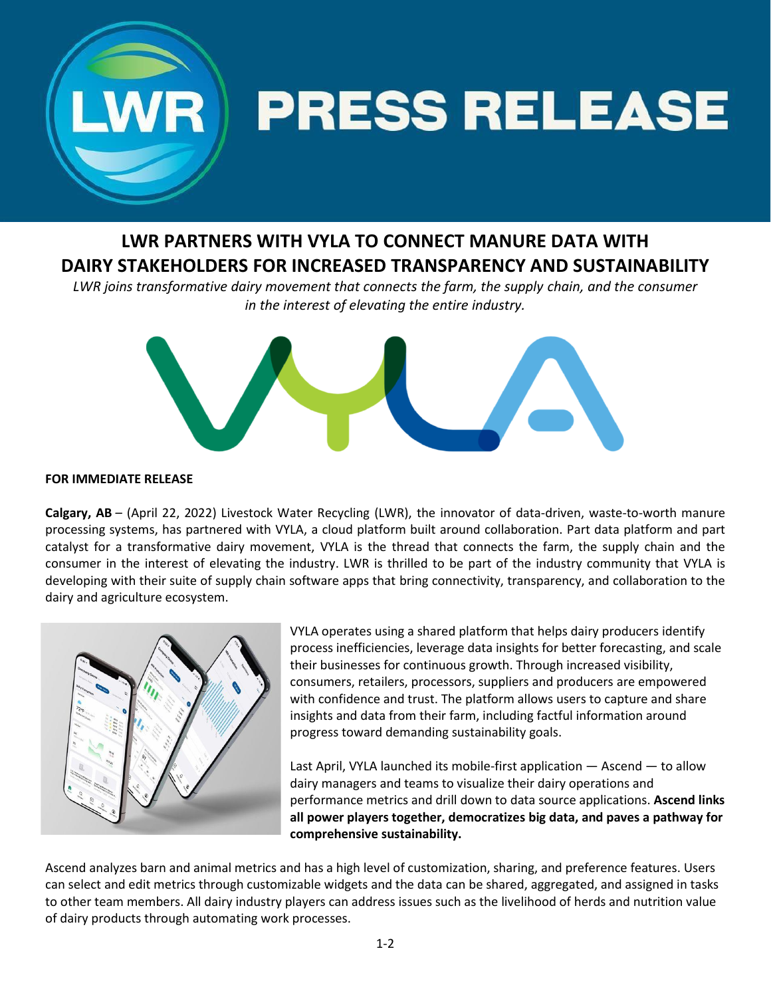

# **LWR PARTNERS WITH VYLA TO CONNECT MANURE DATA WITH DAIRY STAKEHOLDERS FOR INCREASED TRANSPARENCY AND SUSTAINABILITY**

*LWR joins transformative dairy movement that connects the farm, the supply chain, and the consumer in the interest of elevating the entire industry.*



## **FOR IMMEDIATE RELEASE**

**Calgary, AB** – (April 22, 2022) Livestock Water Recycling (LWR), the innovator of data-driven, waste-to-worth manure processing systems, has partnered with VYLA, a cloud platform built around collaboration. Part data platform and part catalyst for a transformative dairy movement, VYLA is the thread that connects the farm, the supply chain and the consumer in the interest of elevating the industry. LWR is thrilled to be part of the industry community that VYLA is developing with their suite of supply chain software apps that bring connectivity, transparency, and collaboration to the dairy and agriculture ecosystem.



VYLA operates using a shared platform that helps dairy producers identify process inefficiencies, leverage data insights for better forecasting, and scale their businesses for continuous growth. Through increased visibility, consumers, retailers, processors, suppliers and producers are empowered with confidence and trust. The platform allows users to capture and share insights and data from their farm, including factful information around progress toward demanding sustainability goals.

Last April, VYLA launched its mobile-first application — Ascend — to allow dairy managers and teams to visualize their dairy operations and performance metrics and drill down to data source applications. **Ascend links all power players together, democratizes big data, and paves a pathway for comprehensive sustainability.** 

Ascend analyzes barn and animal metrics and has a high level of customization, sharing, and preference features. Users can select and edit metrics through customizable widgets and the data can be shared, aggregated, and assigned in tasks to other team members. All dairy industry players can address issues such as the livelihood of herds and nutrition value of dairy products through automating work processes.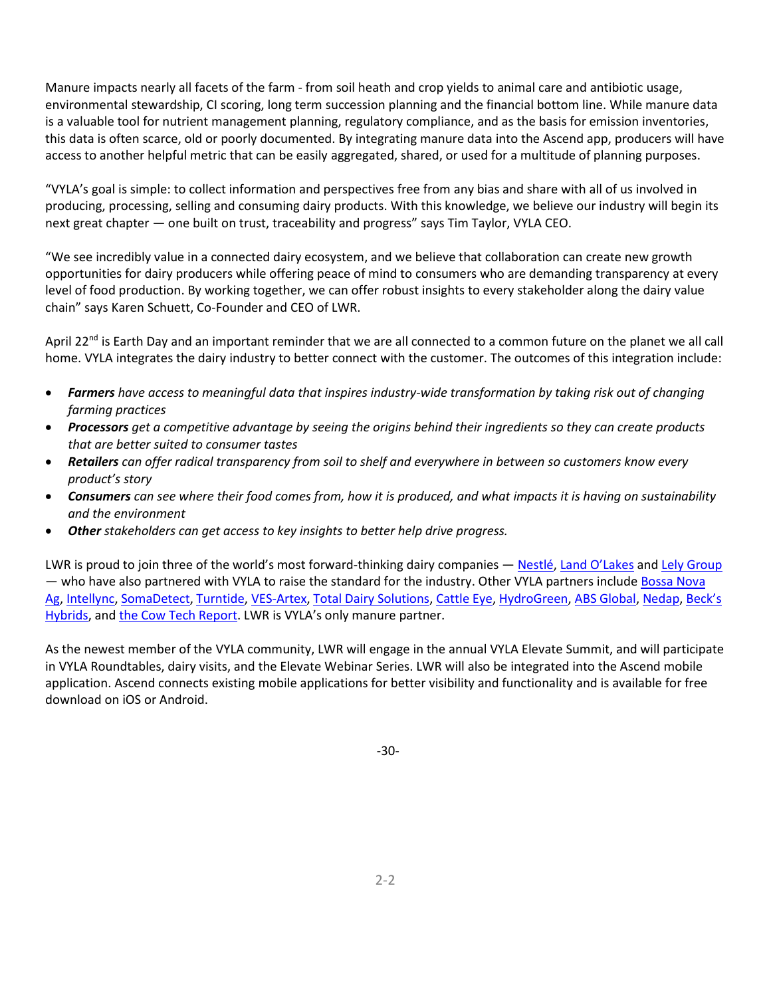Manure impacts nearly all facets of the farm - from soil heath and crop yields to animal care and antibiotic usage, environmental stewardship, CI scoring, long term succession planning and the financial bottom line. While manure data is a valuable tool for nutrient management planning, regulatory compliance, and as the basis for emission inventories, this data is often scarce, old or poorly documented. By integrating manure data into the Ascend app, producers will have access to another helpful metric that can be easily aggregated, shared, or used for a multitude of planning purposes.

"VYLA's goal is simple: to collect information and perspectives free from any bias and share with all of us involved in producing, processing, selling and consuming dairy products. With this knowledge, we believe our industry will begin its next great chapter — one built on trust, traceability and progress" says Tim Taylor, VYLA CEO.

"We see incredibly value in a connected dairy ecosystem, and we believe that collaboration can create new growth opportunities for dairy producers while offering peace of mind to consumers who are demanding transparency at every level of food production. By working together, we can offer robust insights to every stakeholder along the dairy value chain" says Karen Schuett, Co-Founder and CEO of LWR.

April 22<sup>nd</sup> is Earth Day and an important reminder that we are all connected to a common future on the planet we all call home. VYLA integrates the dairy industry to better connect with the customer. The outcomes of this integration include:

- *Farmers have access to meaningful data that inspires industry-wide transformation by taking risk out of changing farming practices*
- *Processors get a competitive advantage by seeing the origins behind their ingredients so they can create products that are better suited to consumer tastes*
- *Retailers can offer radical transparency from soil to shelf and everywhere in between so customers know every product's story*
- *Consumers can see where their food comes from, how it is produced, and what impacts it is having on sustainability and the environment*
- *Other stakeholders can get access to key insights to better help drive progress.*

LWR is proud to join three of the world's most forward-thinking dairy companies — [Nestlé,](https://www.nestle.com/) [Land O'Lakes](https://www.landolakesinc.com/) and [Lely Group](https://www.lely.com/) — who have also partnered with VYLA to raise the standard for the industry. Other VYLA partners include Bossa Nova [Ag,](https://www.bossanovaag.com/) [Intellync,](https://intellync.com/) [SomaDetect,](http://www.somadetect.com/) [Turntide,](https://turntide.com/) [VES-Artex,](https://www.ves-artex.com/) [Total Dairy Solutions,](https://totaldairysolutions.com/) [Cattle Eye,](https://cattleeye.com/) [HydroGreen,](https://hydrogreenglobal.com/) [ABS Global,](https://www.absglobal.com/) [Nedap,](http://www.nedap-livestockmanagement.com/) [Bec](https://www.beckshybrids.com/)[k's](https://www.beckshybrids.com/)  [Hybrids,](https://www.beckshybrids.com/) an[d the Cow Tech Report.](https://cowtechreport.substack.com/) LWR is VYLA's only manure partner.

As the newest member of the VYLA community, LWR will engage in the annual VYLA Elevate Summit, and will participate in VYLA Roundtables, dairy visits, and the Elevate Webinar Series. LWR will also be integrated into the Ascend mobile application. Ascend connects existing mobile applications for better visibility and functionality and is available for free download on iOS or Android.

-30-